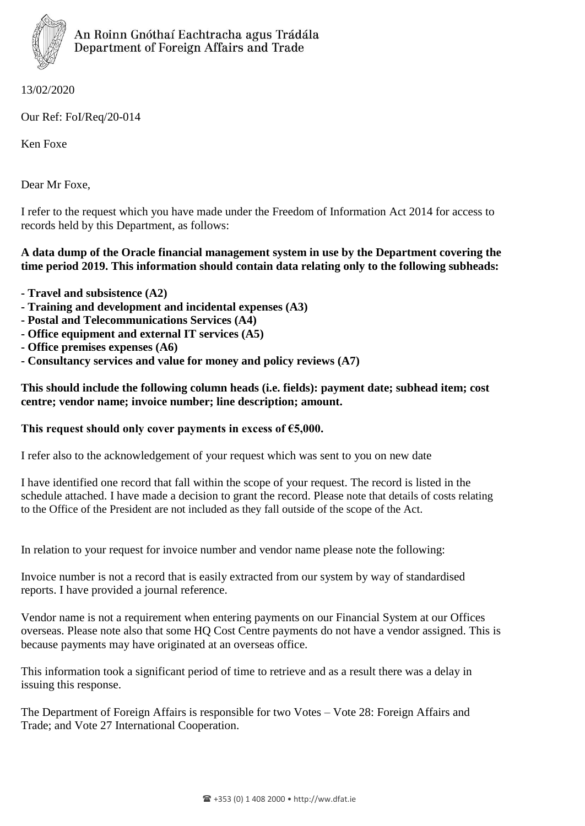

13/02/2020

Our Ref: FoI/Req/20-014

Ken Foxe

Dear Mr Foxe,

I refer to the request which you have made under the Freedom of Information Act 2014 for access to records held by this Department, as follows:

## **A data dump of the Oracle financial management system in use by the Department covering the time period 2019. This information should contain data relating only to the following subheads:**

- **- Travel and subsistence (A2)**
- **- Training and development and incidental expenses (A3)**
- **- Postal and Telecommunications Services (A4)**
- **- Office equipment and external IT services (A5)**
- **- Office premises expenses (A6)**
- **- Consultancy services and value for money and policy reviews (A7)**

## **This should include the following column heads (i.e. fields): payment date; subhead item; cost centre; vendor name; invoice number; line description; amount.**

## **This request should only cover payments in excess of €5,000.**

I refer also to the acknowledgement of your request which was sent to you on new date

I have identified one record that fall within the scope of your request. The record is listed in the schedule attached. I have made a decision to grant the record. Please note that details of costs relating to the Office of the President are not included as they fall outside of the scope of the Act.

In relation to your request for invoice number and vendor name please note the following:

Invoice number is not a record that is easily extracted from our system by way of standardised reports. I have provided a journal reference.

Vendor name is not a requirement when entering payments on our Financial System at our Offices overseas. Please note also that some HQ Cost Centre payments do not have a vendor assigned. This is because payments may have originated at an overseas office.

This information took a significant period of time to retrieve and as a result there was a delay in issuing this response.

The Department of Foreign Affairs is responsible for two Votes – Vote 28: Foreign Affairs and Trade; and Vote 27 International Cooperation.